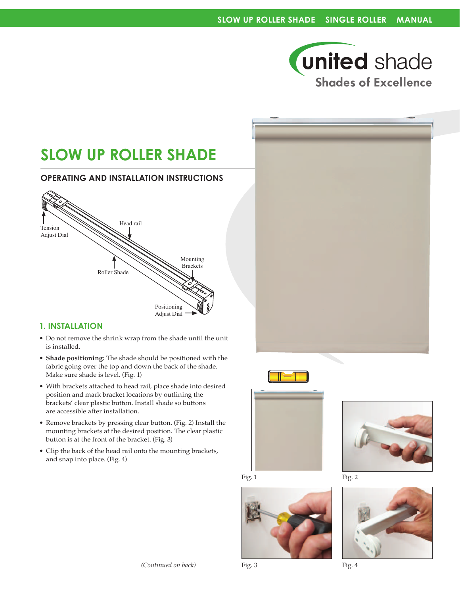

# **SLOW UP ROLLER SHADE**

## **Operating and Installation Instructions**



## **1. Installation**

- Do not remove the shrink wrap from the shade until the unit is installed.
- **Shade positioning:** The shade should be positioned with the fabric going over the top and down the back of the shade. Make sure shade is level. (Fig. 1)
- • With brackets attached to head rail, place shade into desired position and mark bracket locations by outlining the brackets' clear plastic button. Install shade so buttons are accessible after installation.
- Remove brackets by pressing clear button. (Fig. 2) Install the mounting brackets at the desired position. The clear plastic button is at the front of the bracket. (Fig. 3)
- Clip the back of the head rail onto the mounting brackets, and snap into place. (Fig. 4)